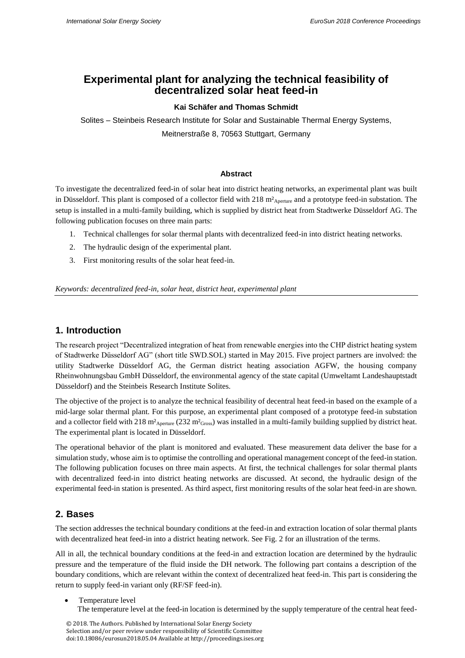# **Experimental plant for analyzing the technical feasibility of decentralized solar heat feed-in**

### **Kai Schäfer and Thomas Schmidt**

Solites – Steinbeis Research Institute for Solar and Sustainable Thermal Energy Systems, Meitnerstraße 8, 70563 Stuttgart, Germany

#### **Abstract**

To investigate the decentralized feed-in of solar heat into district heating networks, an experimental plant was built in Düsseldorf. This plant is composed of a collector field with 218 m<sup>2</sup><sub>Aperture</sub> and a prototype feed-in substation. The setup is installed in a multi-family building, which is supplied by district heat from Stadtwerke Düsseldorf AG. The following publication focuses on three main parts:

- 1. Technical challenges for solar thermal plants with decentralized feed-in into district heating networks.
- 2. The hydraulic design of the experimental plant.
- 3. First monitoring results of the solar heat feed-in.

*Keywords: decentralized feed-in, solar heat, district heat, experimental plant*

## **1. Introduction**

The research project "Decentralized integration of heat from renewable energies into the CHP district heating system of Stadtwerke Düsseldorf AG" (short title SWD.SOL) started in May 2015. Five project partners are involved: the utility Stadtwerke Düsseldorf AG, the German district heating association AGFW, the housing company Rheinwohnungsbau GmbH Düsseldorf, the environmental agency of the state capital (Umweltamt Landeshauptstadt Düsseldorf) and the Steinbeis Research Institute Solites.

The objective of the project is to analyze the technical feasibility of decentral heat feed-in based on the example of a mid-large solar thermal plant. For this purpose, an experimental plant composed of a prototype feed-in substation and a collector field with 218 m<sup>2</sup><sub>Aperture</sub> (232 m<sup>2</sup><sub>Gross</sub>) was installed in a multi-family building supplied by district heat. The experimental plant is located in Düsseldorf.

The operational behavior of the plant is monitored and evaluated. These measurement data deliver the base for a simulation study, whose aim is to optimise the controlling and operational management concept of the feed-in station. The following publication focuses on three main aspects. At first, the technical challenges for solar thermal plants with decentralized feed-in into district heating networks are discussed. At second, the hydraulic design of the experimental feed-in station is presented. As third aspect, first monitoring results of the solar heat feed-in are shown.

# **2. Bases**

The section addresses the technical boundary conditions at the feed-in and extraction location of solar thermal plants with decentralized heat feed-in into a district heating network. See Fig. 2 for an illustration of the terms.

All in all, the technical boundary conditions at the feed-in and extraction location are determined by the hydraulic pressure and the temperature of the fluid inside the DH network. The following part contains a description of the boundary conditions, which are relevant within the context of decentralized heat feed-in. This part is considering the return to supply feed-in variant only (RF/SF feed-in).

 Temperature level The temperature level at the feed-in location is determined by the supply temperature of the central heat feed-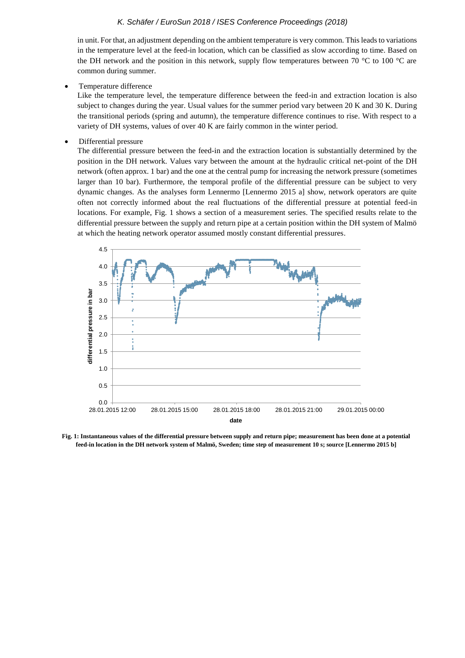#### K. Schäfer / EuroSun 2018 / ISES Conference Proceedings (2018)

in unit. For that, an adjustment depending on the ambient temperature is very common. This leads to variations in the temperature level at the feed-in location, which can be classified as slow according to time. Based on the DH network and the position in this network, supply flow temperatures between 70 °C to 100 °C are common during summer.

Temperature difference

Like the temperature level, the temperature difference between the feed-in and extraction location is also subject to changes during the year. Usual values for the summer period vary between 20 K and 30 K. During the transitional periods (spring and autumn), the temperature difference continues to rise. With respect to a variety of DH systems, values of over 40 K are fairly common in the winter period.

Differential pressure

The differential pressure between the feed-in and the extraction location is substantially determined by the position in the DH network. Values vary between the amount at the hydraulic critical net-point of the DH network (often approx. 1 bar) and the one at the central pump for increasing the network pressure (sometimes larger than 10 bar). Furthermore, the temporal profile of the differential pressure can be subject to very dynamic changes. As the analyses form Lennermo [Lennermo 2015 a] show, network operators are quite often not correctly informed about the real fluctuations of the differential pressure at potential feed-in locations. For example, Fig. 1 shows a section of a measurement series. The specified results relate to the differential pressure between the supply and return pipe at a certain position within the DH system of Malmö at which the heating network operator assumed mostly constant differential pressures.



**Fig. 1: Instantaneous values of the differential pressure between supply and return pipe; measurement has been done at a potential feed-in location in the DH network system of Malmö, Sweden; time step of measurement 10 s; source [Lennermo 2015 b]**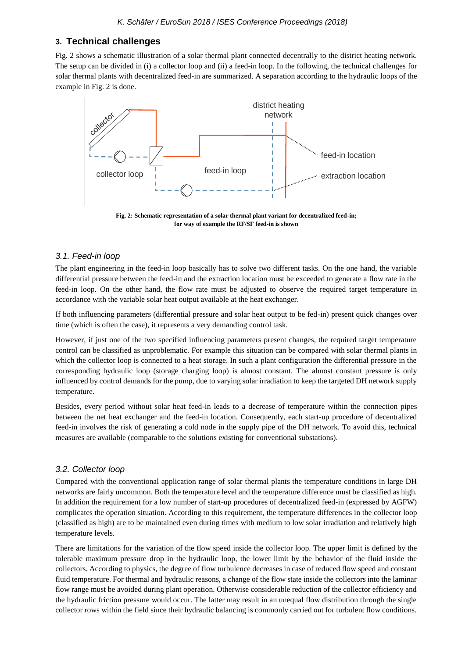# **3. Technical challenges**

Fig. 2 shows a schematic illustration of a solar thermal plant connected decentrally to the district heating network. The setup can be divided in (i) a collector loop and (ii) a feed-in loop. In the following, the technical challenges for solar thermal plants with decentralized feed-in are summarized. A separation according to the hydraulic loops of the example in Fig. 2 is done.



**Fig. 2: Schematic representation of a solar thermal plant variant for decentralized feed-in; for way of example the RF/SF feed-in is shown**

### *3.1. Feed-in loop*

The plant engineering in the feed-in loop basically has to solve two different tasks. On the one hand, the variable differential pressure between the feed-in and the extraction location must be exceeded to generate a flow rate in the feed-in loop. On the other hand, the flow rate must be adjusted to observe the required target temperature in accordance with the variable solar heat output available at the heat exchanger.

If both influencing parameters (differential pressure and solar heat output to be fed-in) present quick changes over time (which is often the case), it represents a very demanding control task.

However, if just one of the two specified influencing parameters present changes, the required target temperature control can be classified as unproblematic. For example this situation can be compared with solar thermal plants in which the collector loop is connected to a heat storage. In such a plant configuration the differential pressure in the corresponding hydraulic loop (storage charging loop) is almost constant. The almost constant pressure is only influenced by control demands for the pump, due to varying solar irradiation to keep the targeted DH network supply temperature.

Besides, every period without solar heat feed-in leads to a decrease of temperature within the connection pipes between the net heat exchanger and the feed-in location. Consequently, each start-up procedure of decentralized feed-in involves the risk of generating a cold node in the supply pipe of the DH network. To avoid this, technical measures are available (comparable to the solutions existing for conventional substations).

#### *3.2. Collector loop*

Compared with the conventional application range of solar thermal plants the temperature conditions in large DH networks are fairly uncommon. Both the temperature level and the temperature difference must be classified as high. In addition the requirement for a low number of start-up procedures of decentralized feed-in (expressed by AGFW) complicates the operation situation. According to this requirement, the temperature differences in the collector loop (classified as high) are to be maintained even during times with medium to low solar irradiation and relatively high temperature levels.

There are limitations for the variation of the flow speed inside the collector loop. The upper limit is defined by the tolerable maximum pressure drop in the hydraulic loop, the lower limit by the behavior of the fluid inside the collectors. According to physics, the degree of flow turbulence decreases in case of reduced flow speed and constant fluid temperature. For thermal and hydraulic reasons, a change of the flow state inside the collectors into the laminar flow range must be avoided during plant operation. Otherwise considerable reduction of the collector efficiency and the hydraulic friction pressure would occur. The latter may result in an unequal flow distribution through the single collector rows within the field since their hydraulic balancing is commonly carried out for turbulent flow conditions.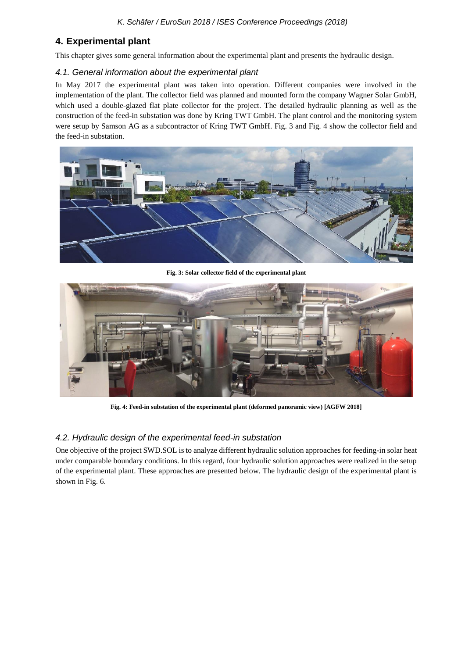# **4. Experimental plant**

This chapter gives some general information about the experimental plant and presents the hydraulic design.

### *4.1. General information about the experimental plant*

In May 2017 the experimental plant was taken into operation. Different companies were involved in the implementation of the plant. The collector field was planned and mounted form the company Wagner Solar GmbH, which used a double-glazed flat plate collector for the project. The detailed hydraulic planning as well as the construction of the feed-in substation was done by Kring TWT GmbH. The plant control and the monitoring system were setup by Samson AG as a subcontractor of Kring TWT GmbH. Fig. 3 and Fig. 4 show the collector field and the feed-in substation.



**Fig. 3: Solar collector field of the experimental plant**



**Fig. 4: Feed-in substation of the experimental plant (deformed panoramic view) [AGFW 2018]**

# *4.2. Hydraulic design of the experimental feed-in substation*

One objective of the project SWD.SOL is to analyze different hydraulic solution approaches for feeding-in solar heat under comparable boundary conditions. In this regard, four hydraulic solution approaches were realized in the setup of the experimental plant. These approaches are presented below. The hydraulic design of the experimental plant is shown in Fig. 6.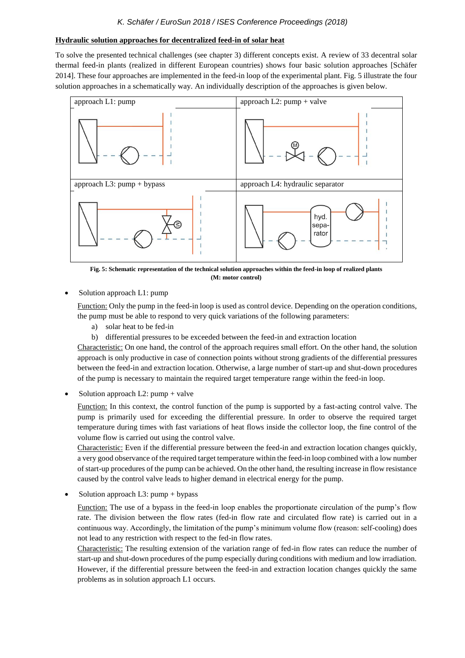### **Hydraulic solution approaches for decentralized feed-in of solar heat**

To solve the presented technical challenges (see chapter 3) different concepts exist. A review of 33 decentral solar thermal feed-in plants (realized in different European countries) shows four basic solution approaches [Schäfer 2014]. These four approaches are implemented in the feed-in loop of the experimental plant. Fig. 5 illustrate the four solution approaches in a schematically way. An individually description of the approaches is given below.



**Fig. 5: Schematic representation of the technical solution approaches within the feed-in loop of realized plants (M: motor control)**

Solution approach L1: pump

Function: Only the pump in the feed-in loop is used as control device. Depending on the operation conditions, the pump must be able to respond to very quick variations of the following parameters:

- a) solar heat to be fed-in
- b) differential pressures to be exceeded between the feed-in and extraction location

Characteristic: On one hand, the control of the approach requires small effort. On the other hand, the solution approach is only productive in case of connection points without strong gradients of the differential pressures between the feed-in and extraction location. Otherwise, a large number of start-up and shut-down procedures of the pump is necessary to maintain the required target temperature range within the feed-in loop.

Solution approach L2: pump + valve

Function: In this context, the control function of the pump is supported by a fast-acting control valve. The pump is primarily used for exceeding the differential pressure. In order to observe the required target temperature during times with fast variations of heat flows inside the collector loop, the fine control of the volume flow is carried out using the control valve.

Characteristic: Even if the differential pressure between the feed-in and extraction location changes quickly, a very good observance of the required target temperature within the feed-in loop combined with a low number of start-up procedures of the pump can be achieved. On the other hand, the resulting increase in flow resistance caused by the control valve leads to higher demand in electrical energy for the pump.

Solution approach L3: pump + bypass

Function: The use of a bypass in the feed-in loop enables the proportionate circulation of the pump's flow rate. The division between the flow rates (fed-in flow rate and circulated flow rate) is carried out in a continuous way. Accordingly, the limitation of the pump's minimum volume flow (reason: self-cooling) does not lead to any restriction with respect to the fed-in flow rates.

Characteristic: The resulting extension of the variation range of fed-in flow rates can reduce the number of start-up and shut-down procedures of the pump especially during conditions with medium and low irradiation. However, if the differential pressure between the feed-in and extraction location changes quickly the same problems as in solution approach L1 occurs.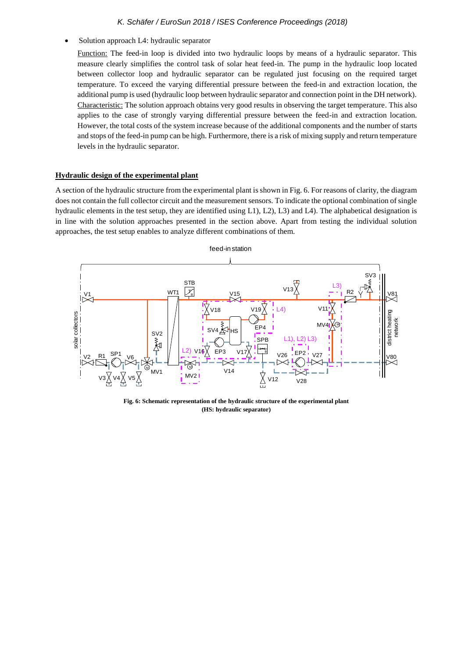### K. Schäfer / EuroSun 2018 / ISES Conference Proceedings (2018)

#### Solution approach L4: hydraulic separator

Function: The feed-in loop is divided into two hydraulic loops by means of a hydraulic separator. This measure clearly simplifies the control task of solar heat feed-in. The pump in the hydraulic loop located between collector loop and hydraulic separator can be regulated just focusing on the required target temperature. To exceed the varying differential pressure between the feed-in and extraction location, the additional pump is used (hydraulic loop between hydraulic separator and connection point in the DH network). Characteristic: The solution approach obtains very good results in observing the target temperature. This also applies to the case of strongly varying differential pressure between the feed-in and extraction location. However, the total costs of the system increase because of the additional components and the number of starts and stops of the feed-in pump can be high. Furthermore, there is a risk of mixing supply and return temperature levels in the hydraulic separator.

#### **Hydraulic design of the experimental plant**

A section of the hydraulic structure from the experimental plant is shown in Fig. 6. For reasons of clarity, the diagram does not contain the full collector circuit and the measurement sensors. To indicate the optional combination of single hydraulic elements in the test setup, they are identified using L1), L2), L3) and L4). The alphabetical designation is in line with the solution approaches presented in the section above. Apart from testing the individual solution approaches, the test setup enables to analyze different combinations of them.



**Fig. 6: Schematic representation of the hydraulic structure of the experimental plant (HS: hydraulic separator)**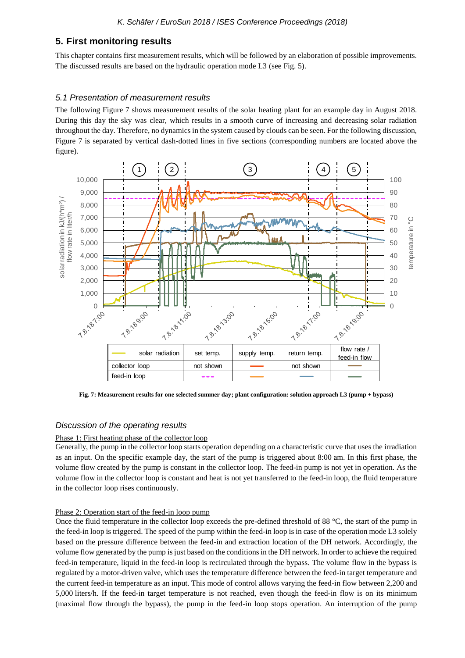# **5. First monitoring results**

This chapter contains first measurement results, which will be followed by an elaboration of possible improvements. The discussed results are based on the hydraulic operation mode L3 (see Fig. 5).

# *5.1 Presentation of measurement results*

The following Figure 7 shows measurement results of the solar heating plant for an example day in August 2018. During this day the sky was clear, which results in a smooth curve of increasing and decreasing solar radiation throughout the day. Therefore, no dynamics in the system caused by clouds can be seen. For the following discussion, Figure 7 is separated by vertical dash-dotted lines in five sections (corresponding numbers are located above the figure).



**Fig. 7: Measurement results for one selected summer day; plant configuration: solution approach L3 (pump + bypass)**

### *Discussion of the operating results*

### Phase 1: First heating phase of the collector loop

Generally, the pump in the collector loop starts operation depending on a characteristic curve that uses the irradiation as an input. On the specific example day, the start of the pump is triggered about 8:00 am. In this first phase, the volume flow created by the pump is constant in the collector loop. The feed-in pump is not yet in operation. As the volume flow in the collector loop is constant and heat is not yet transferred to the feed-in loop, the fluid temperature in the collector loop rises continuously.

### Phase 2: Operation start of the feed-in loop pump

Once the fluid temperature in the collector loop exceeds the pre-defined threshold of 88 °C, the start of the pump in the feed-in loop is triggered. The speed of the pump within the feed-in loop is in case of the operation mode L3 solely based on the pressure difference between the feed-in and extraction location of the DH network. Accordingly, the volume flow generated by the pump is just based on the conditions in the DH network. In order to achieve the required feed-in temperature, liquid in the feed-in loop is recirculated through the bypass. The volume flow in the bypass is regulated by a motor-driven valve, which uses the temperature difference between the feed-in target temperature and the current feed-in temperature as an input. This mode of control allows varying the feed-in flow between 2,200 and 5,000 liters/h. If the feed-in target temperature is not reached, even though the feed-in flow is on its minimum (maximal flow through the bypass), the pump in the feed-in loop stops operation. An interruption of the pump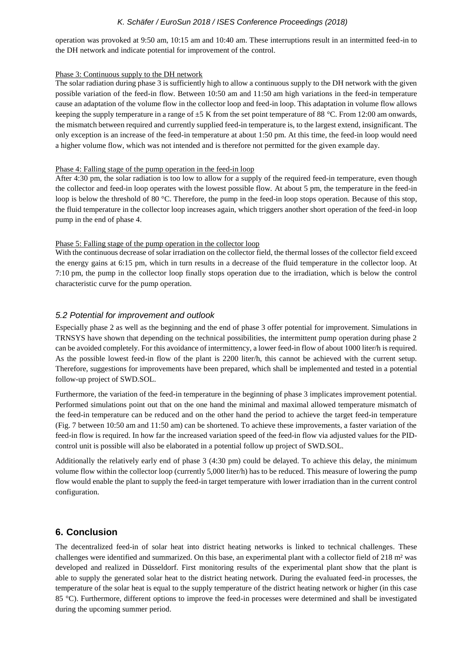### K. Schäfer / EuroSun 2018 / ISES Conference Proceedings (2018)

operation was provoked at 9:50 am, 10:15 am and 10:40 am. These interruptions result in an intermitted feed-in to the DH network and indicate potential for improvement of the control.

#### Phase 3: Continuous supply to the DH network

The solar radiation during phase 3 is sufficiently high to allow a continuous supply to the DH network with the given possible variation of the feed-in flow. Between 10:50 am and 11:50 am high variations in the feed-in temperature cause an adaptation of the volume flow in the collector loop and feed-in loop. This adaptation in volume flow allows keeping the supply temperature in a range of  $\pm$ 5 K from the set point temperature of 88 °C. From 12:00 am onwards, the mismatch between required and currently supplied feed-in temperature is, to the largest extend, insignificant. The only exception is an increase of the feed-in temperature at about 1:50 pm. At this time, the feed-in loop would need a higher volume flow, which was not intended and is therefore not permitted for the given example day.

#### Phase 4: Falling stage of the pump operation in the feed-in loop

After 4:30 pm, the solar radiation is too low to allow for a supply of the required feed-in temperature, even though the collector and feed-in loop operates with the lowest possible flow. At about 5 pm, the temperature in the feed-in loop is below the threshold of 80 °C. Therefore, the pump in the feed-in loop stops operation. Because of this stop, the fluid temperature in the collector loop increases again, which triggers another short operation of the feed-in loop pump in the end of phase 4.

#### Phase 5: Falling stage of the pump operation in the collector loop

With the continuous decrease of solar irradiation on the collector field, the thermal losses of the collector field exceed the energy gains at 6:15 pm, which in turn results in a decrease of the fluid temperature in the collector loop. At 7:10 pm, the pump in the collector loop finally stops operation due to the irradiation, which is below the control characteristic curve for the pump operation.

### *5.2 Potential for improvement and outlook*

Especially phase 2 as well as the beginning and the end of phase 3 offer potential for improvement. Simulations in TRNSYS have shown that depending on the technical possibilities, the intermittent pump operation during phase 2 can be avoided completely. For this avoidance of intermittency, a lower feed-in flow of about 1000 liter/h is required. As the possible lowest feed-in flow of the plant is 2200 liter/h, this cannot be achieved with the current setup. Therefore, suggestions for improvements have been prepared, which shall be implemented and tested in a potential follow-up project of SWD.SOL.

Furthermore, the variation of the feed-in temperature in the beginning of phase 3 implicates improvement potential. Performed simulations point out that on the one hand the minimal and maximal allowed temperature mismatch of the feed-in temperature can be reduced and on the other hand the period to achieve the target feed-in temperature (Fig. 7 between 10:50 am and 11:50 am) can be shortened. To achieve these improvements, a faster variation of the feed-in flow is required. In how far the increased variation speed of the feed-in flow via adjusted values for the PIDcontrol unit is possible will also be elaborated in a potential follow up project of SWD.SOL.

Additionally the relatively early end of phase 3 (4:30 pm) could be delayed. To achieve this delay, the minimum volume flow within the collector loop (currently 5,000 liter/h) has to be reduced. This measure of lowering the pump flow would enable the plant to supply the feed-in target temperature with lower irradiation than in the current control configuration.

# **6. Conclusion**

The decentralized feed-in of solar heat into district heating networks is linked to technical challenges. These challenges were identified and summarized. On this base, an experimental plant with a collector field of 218 m² was developed and realized in Düsseldorf. First monitoring results of the experimental plant show that the plant is able to supply the generated solar heat to the district heating network. During the evaluated feed-in processes, the temperature of the solar heat is equal to the supply temperature of the district heating network or higher (in this case 85 °C). Furthermore, different options to improve the feed-in processes were determined and shall be investigated during the upcoming summer period.